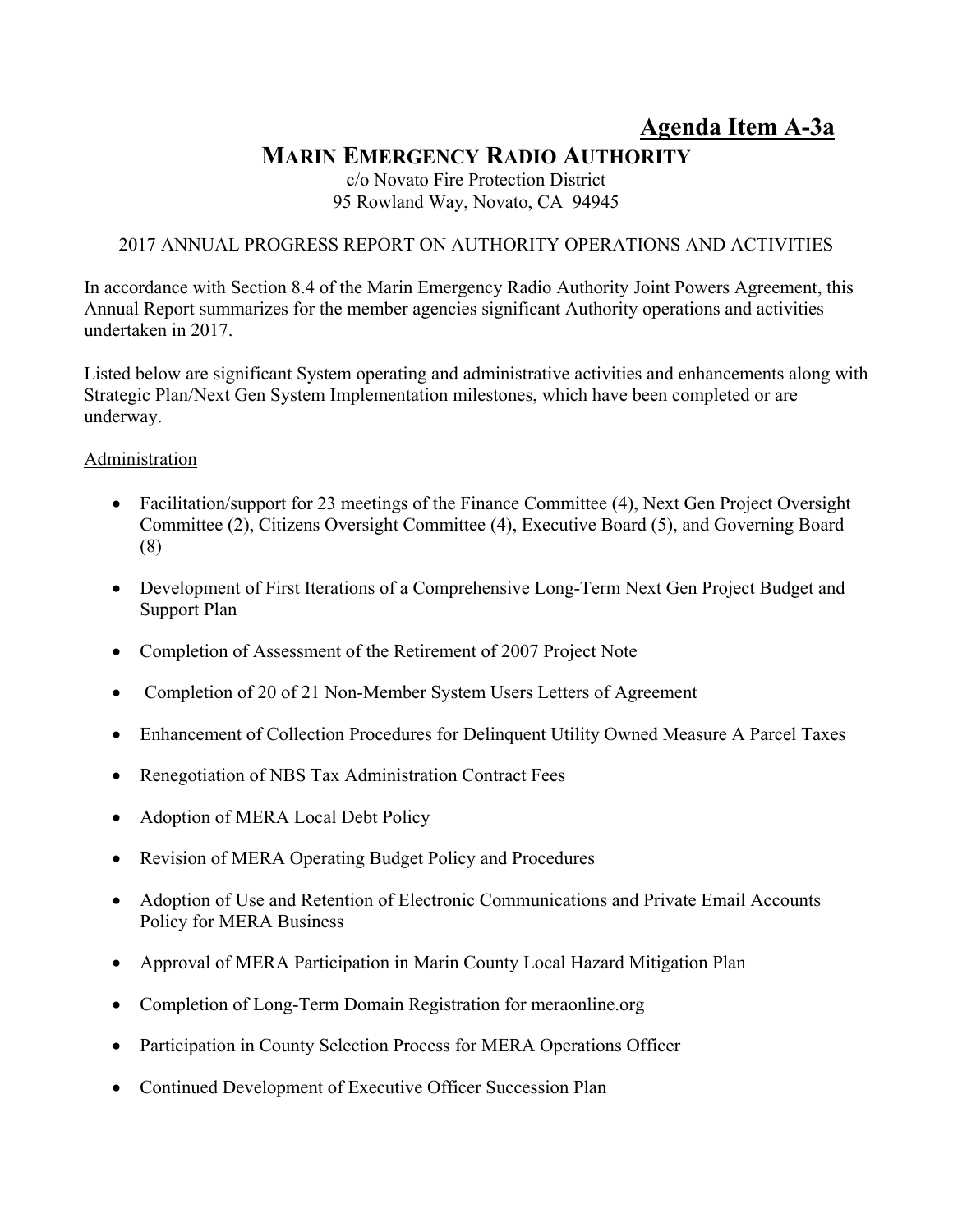# **Agenda Item A-3a MARIN EMERGENCY RADIO AUTHORITY**

c/o Novato Fire Protection District 95 Rowland Way, Novato, CA 94945

## 2017 ANNUAL PROGRESS REPORT ON AUTHORITY OPERATIONS AND ACTIVITIES

In accordance with Section 8.4 of the Marin Emergency Radio Authority Joint Powers Agreement, this Annual Report summarizes for the member agencies significant Authority operations and activities undertaken in 2017.

Listed below are significant System operating and administrative activities and enhancements along with Strategic Plan/Next Gen System Implementation milestones, which have been completed or are underway.

#### **Administration**

- Facilitation/support for 23 meetings of the Finance Committee (4), Next Gen Project Oversight Committee (2), Citizens Oversight Committee (4), Executive Board (5), and Governing Board (8)
- Development of First Iterations of a Comprehensive Long-Term Next Gen Project Budget and Support Plan
- Completion of Assessment of the Retirement of 2007 Project Note
- Completion of 20 of 21 Non-Member System Users Letters of Agreement
- Enhancement of Collection Procedures for Delinquent Utility Owned Measure A Parcel Taxes
- Renegotiation of NBS Tax Administration Contract Fees
- Adoption of MERA Local Debt Policy
- Revision of MERA Operating Budget Policy and Procedures
- Adoption of Use and Retention of Electronic Communications and Private Email Accounts Policy for MERA Business
- Approval of MERA Participation in Marin County Local Hazard Mitigation Plan
- Completion of Long-Term Domain Registration for meraonline.org
- Participation in County Selection Process for MERA Operations Officer
- Continued Development of Executive Officer Succession Plan